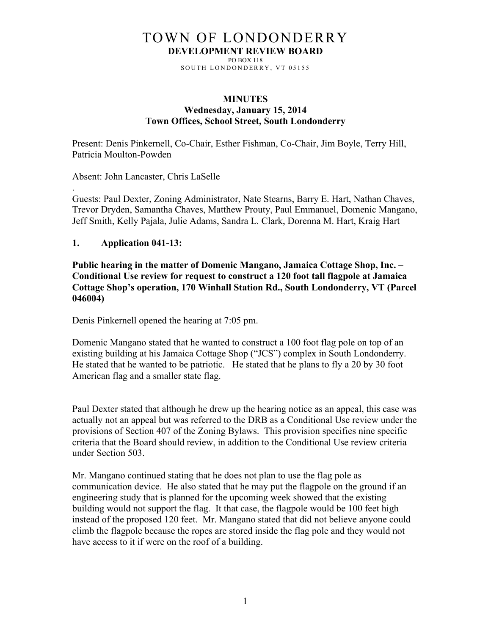# TOWN OF LONDONDERRY **DEVELOPMENT REVIEW BOARD**

PO BOX 118 SOUTH LONDONDERRY, VT 05155

#### **MINUTES Wednesday, January 15, 2014 Town Offices, School Street, South Londonderry**

Present: Denis Pinkernell, Co-Chair, Esther Fishman, Co-Chair, Jim Boyle, Terry Hill, Patricia Moulton-Powden

Absent: John Lancaster, Chris LaSelle

Guests: Paul Dexter, Zoning Administrator, Nate Stearns, Barry E. Hart, Nathan Chaves, Trevor Dryden, Samantha Chaves, Matthew Prouty, Paul Emmanuel, Domenic Mangano, Jeff Smith, Kelly Pajala, Julie Adams, Sandra L. Clark, Dorenna M. Hart, Kraig Hart

### **1. Application 041-13:**

.

**Public hearing in the matter of Domenic Mangano, Jamaica Cottage Shop, Inc. – Conditional Use review for request to construct a 120 foot tall flagpole at Jamaica Cottage Shop's operation, 170 Winhall Station Rd., South Londonderry, VT (Parcel 046004)**

Denis Pinkernell opened the hearing at 7:05 pm.

Domenic Mangano stated that he wanted to construct a 100 foot flag pole on top of an existing building at his Jamaica Cottage Shop ("JCS") complex in South Londonderry. He stated that he wanted to be patriotic. He stated that he plans to fly a 20 by 30 foot American flag and a smaller state flag.

Paul Dexter stated that although he drew up the hearing notice as an appeal, this case was actually not an appeal but was referred to the DRB as a Conditional Use review under the provisions of Section 407 of the Zoning Bylaws. This provision specifies nine specific criteria that the Board should review, in addition to the Conditional Use review criteria under Section 503.

Mr. Mangano continued stating that he does not plan to use the flag pole as communication device. He also stated that he may put the flagpole on the ground if an engineering study that is planned for the upcoming week showed that the existing building would not support the flag. It that case, the flagpole would be 100 feet high instead of the proposed 120 feet. Mr. Mangano stated that did not believe anyone could climb the flagpole because the ropes are stored inside the flag pole and they would not have access to it if were on the roof of a building.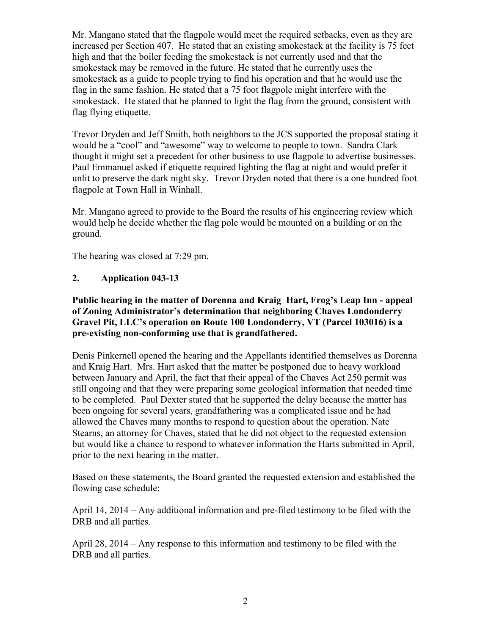Mr. Mangano stated that the flagpole would meet the required setbacks, even as they are increased per Section 407. He stated that an existing smokestack at the facility is 75 feet high and that the boiler feeding the smokestack is not currently used and that the smokestack may be removed in the future. He stated that he currently uses the smokestack as a guide to people trying to find his operation and that he would use the flag in the same fashion. He stated that a 75 foot flagpole might interfere with the smokestack. He stated that he planned to light the flag from the ground, consistent with flag flying etiquette.

Trevor Dryden and Jeff Smith, both neighbors to the JCS supported the proposal stating it would be a "cool" and "awesome" way to welcome to people to town. Sandra Clark thought it might set a precedent for other business to use flagpole to advertise businesses. Paul Emmanuel asked if etiquette required lighting the flag at night and would prefer it unlit to preserve the dark night sky. Trevor Dryden noted that there is a one hundred foot flagpole at Town Hall in Winhall.

Mr. Mangano agreed to provide to the Board the results of his engineering review which would help he decide whether the flag pole would be mounted on a building or on the ground.

The hearing was closed at 7:29 pm.

## **2. Application 043-13**

## **Public hearing in the matter of Dorenna and Kraig Hart, Frog's Leap Inn - appeal of Zoning Administrator's determination that neighboring Chaves Londonderry Gravel Pit, LLC's operation on Route 100 Londonderry, VT (Parcel 103016) is a pre-existing non-conforming use that is grandfathered.**

Denis Pinkernell opened the hearing and the Appellants identified themselves as Dorenna and Kraig Hart. Mrs. Hart asked that the matter be postponed due to heavy workload between January and April, the fact that their appeal of the Chaves Act 250 permit was still ongoing and that they were preparing some geological information that needed time to be completed. Paul Dexter stated that he supported the delay because the matter has been ongoing for several years, grandfathering was a complicated issue and he had allowed the Chaves many months to respond to question about the operation. Nate Stearns, an attorney for Chaves, stated that he did not object to the requested extension but would like a chance to respond to whatever information the Harts submitted in April, prior to the next hearing in the matter.

Based on these statements, the Board granted the requested extension and established the flowing case schedule:

April 14, 2014 – Any additional information and pre-filed testimony to be filed with the DRB and all parties.

April 28, 2014 – Any response to this information and testimony to be filed with the DRB and all parties.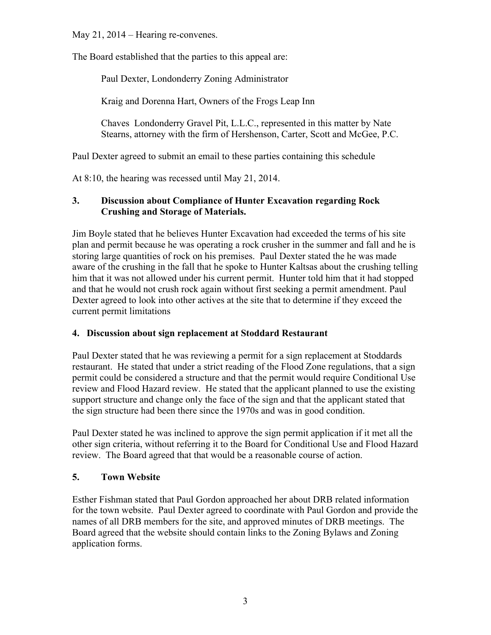May 21, 2014 – Hearing re-convenes.

The Board established that the parties to this appeal are:

Paul Dexter, Londonderry Zoning Administrator

Kraig and Dorenna Hart, Owners of the Frogs Leap Inn

Chaves Londonderry Gravel Pit, L.L.C., represented in this matter by Nate Stearns, attorney with the firm of Hershenson, Carter, Scott and McGee, P.C.

Paul Dexter agreed to submit an email to these parties containing this schedule

At 8:10, the hearing was recessed until May 21, 2014.

# **3. Discussion about Compliance of Hunter Excavation regarding Rock Crushing and Storage of Materials.**

Jim Boyle stated that he believes Hunter Excavation had exceeded the terms of his site plan and permit because he was operating a rock crusher in the summer and fall and he is storing large quantities of rock on his premises. Paul Dexter stated the he was made aware of the crushing in the fall that he spoke to Hunter Kaltsas about the crushing telling him that it was not allowed under his current permit. Hunter told him that it had stopped and that he would not crush rock again without first seeking a permit amendment. Paul Dexter agreed to look into other actives at the site that to determine if they exceed the current permit limitations

# **4. Discussion about sign replacement at Stoddard Restaurant**

Paul Dexter stated that he was reviewing a permit for a sign replacement at Stoddards restaurant. He stated that under a strict reading of the Flood Zone regulations, that a sign permit could be considered a structure and that the permit would require Conditional Use review and Flood Hazard review. He stated that the applicant planned to use the existing support structure and change only the face of the sign and that the applicant stated that the sign structure had been there since the 1970s and was in good condition.

Paul Dexter stated he was inclined to approve the sign permit application if it met all the other sign criteria, without referring it to the Board for Conditional Use and Flood Hazard review. The Board agreed that that would be a reasonable course of action.

# **5. Town Website**

Esther Fishman stated that Paul Gordon approached her about DRB related information for the town website. Paul Dexter agreed to coordinate with Paul Gordon and provide the names of all DRB members for the site, and approved minutes of DRB meetings. The Board agreed that the website should contain links to the Zoning Bylaws and Zoning application forms.